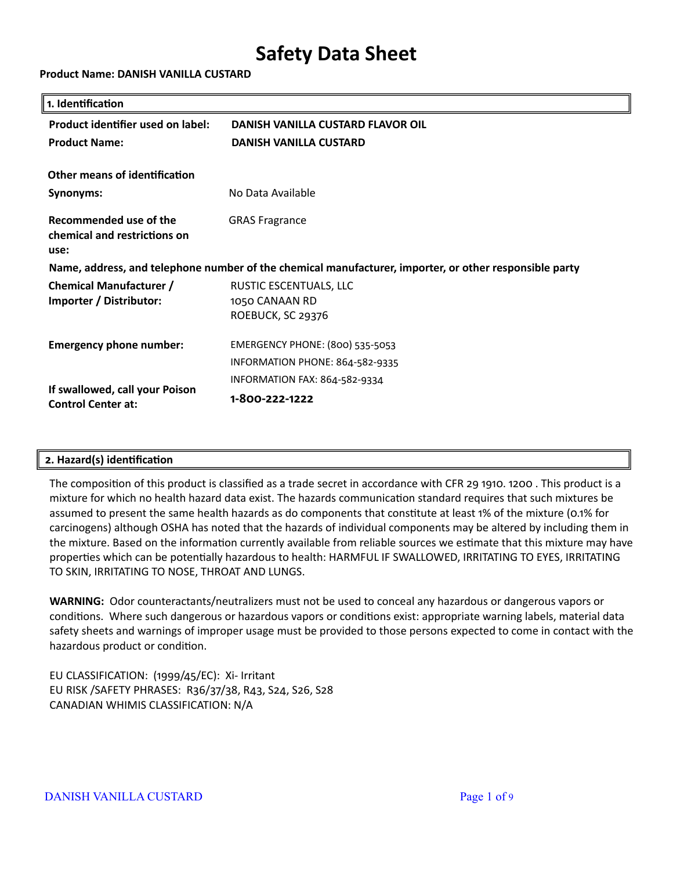**Product Name: DANISH VANILLA CUSTARD**

| 1. Identification                                              |                                                                                                        |
|----------------------------------------------------------------|--------------------------------------------------------------------------------------------------------|
| Product identifier used on label:                              | DANISH VANILLA CUSTARD FLAVOR OIL                                                                      |
| <b>Product Name:</b>                                           | <b>DANISH VANILLA CUSTARD</b>                                                                          |
| Other means of identification                                  |                                                                                                        |
| Synonyms:                                                      | No Data Available                                                                                      |
| Recommended use of the<br>chemical and restrictions on<br>use: | <b>GRAS Fragrance</b>                                                                                  |
|                                                                | Name, address, and telephone number of the chemical manufacturer, importer, or other responsible party |
| <b>Chemical Manufacturer /</b>                                 | RUSTIC ESCENTUALS, LLC                                                                                 |
| Importer / Distributor:                                        | 1050 CANAAN RD<br>ROEBUCK, SC 29376                                                                    |
| <b>Emergency phone number:</b>                                 | EMERGENCY PHONE: (800) 535-5053                                                                        |
|                                                                | INFORMATION PHONE: 864-582-9335                                                                        |
| If swallowed, call your Poison                                 | INFORMATION FAX: 864-582-9334                                                                          |
| <b>Control Center at:</b>                                      | 1-800-222-1222                                                                                         |

# **2. Hazard(s) identification**

The composition of this product is classified as a trade secret in accordance with CFR 29 1910. 1200 . This product is a mixture for which no health hazard data exist. The hazards communication standard requires that such mixtures be assumed to present the same health hazards as do components that constitute at least 1% of the mixture (0.1% for carcinogens) although OSHA has noted that the hazards of individual components may be altered by including them in the mixture. Based on the information currently available from reliable sources we estimate that this mixture may have properties which can be potentially hazardous to health: HARMFUL IF SWALLOWED, IRRITATING TO EYES, IRRITATING TO SKIN, IRRITATING TO NOSE, THROAT AND LUNGS.

**WARNING:** Odor counteractants/neutralizers must not be used to conceal any hazardous or dangerous vapors or conditions. Where such dangerous or hazardous vapors or conditions exist: appropriate warning labels, material data safety sheets and warnings of improper usage must be provided to those persons expected to come in contact with the hazardous product or condition.

EU CLASSIFICATION: (1999/45/EC): Xi- Irritant EU RISK /SAFETY PHRASES: R36/37/38, R43, S24, S26, S28 CANADIAN WHIMIS CLASSIFICATION: N/A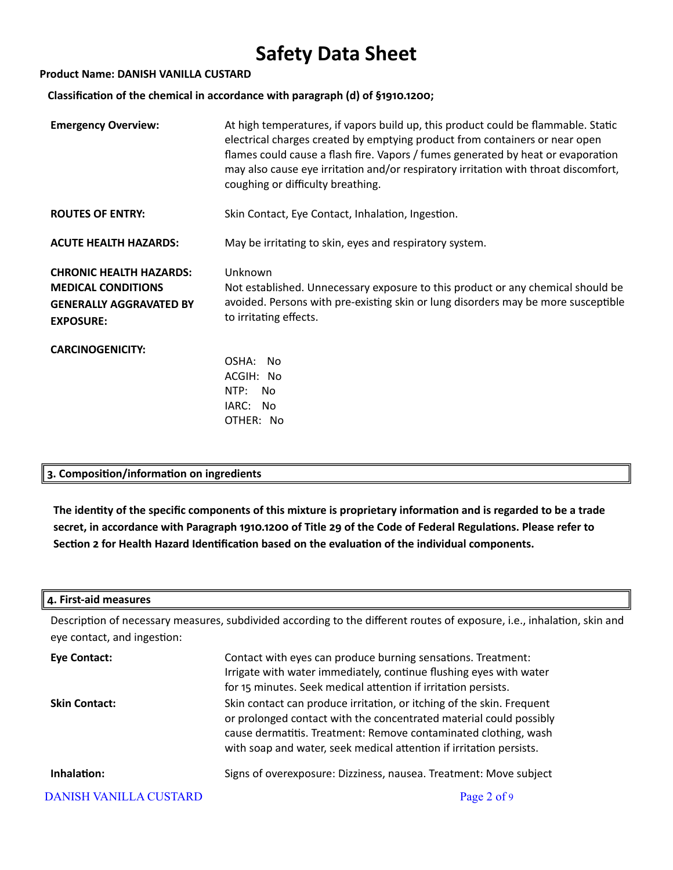### **Product Name: DANISH VANILLA CUSTARD**

 **Classification of the chemical in accordance with paragraph (d) of §1910.1200;**

| <b>Emergency Overview:</b>                                                                                        | At high temperatures, if vapors build up, this product could be flammable. Static<br>electrical charges created by emptying product from containers or near open<br>flames could cause a flash fire. Vapors / fumes generated by heat or evaporation<br>may also cause eye irritation and/or respiratory irritation with throat discomfort,<br>coughing or difficulty breathing. |
|-------------------------------------------------------------------------------------------------------------------|----------------------------------------------------------------------------------------------------------------------------------------------------------------------------------------------------------------------------------------------------------------------------------------------------------------------------------------------------------------------------------|
| <b>ROUTES OF ENTRY:</b>                                                                                           | Skin Contact, Eye Contact, Inhalation, Ingestion.                                                                                                                                                                                                                                                                                                                                |
| <b>ACUTE HEALTH HAZARDS:</b>                                                                                      | May be irritating to skin, eyes and respiratory system.                                                                                                                                                                                                                                                                                                                          |
| <b>CHRONIC HEALTH HAZARDS:</b><br><b>MEDICAL CONDITIONS</b><br><b>GENERALLY AGGRAVATED BY</b><br><b>EXPOSURE:</b> | Unknown<br>Not established. Unnecessary exposure to this product or any chemical should be<br>avoided. Persons with pre-existing skin or lung disorders may be more susceptible<br>to irritating effects.                                                                                                                                                                        |
| <b>CARCINOGENICITY:</b>                                                                                           | OSHA:<br><b>No</b><br>ACGIH: No<br>NTP:<br><b>No</b><br>IARC: No<br>OTHER: No                                                                                                                                                                                                                                                                                                    |

# **3. Composition/information on ingredients**

**The identity of the specific components of this mixture is proprietary information and is regarded to be a trade secret, in accordance with Paragraph 1910.1200 of Title 29 of the Code of Federal Regulations. Please refer to Section 2 for Health Hazard Identification based on the evaluation of the individual components.**

# **4. First-aid measures**

Description of necessary measures, subdivided according to the different routes of exposure, i.e., inhalation, skin and eye contact, and ingestion:

| <b>Eye Contact:</b>           | Contact with eyes can produce burning sensations. Treatment:<br>Irrigate with water immediately, continue flushing eyes with water<br>for 15 minutes. Seek medical attention if irritation persists.                                                                                  |
|-------------------------------|---------------------------------------------------------------------------------------------------------------------------------------------------------------------------------------------------------------------------------------------------------------------------------------|
| <b>Skin Contact:</b>          | Skin contact can produce irritation, or itching of the skin. Frequent<br>or prolonged contact with the concentrated material could possibly<br>cause dermatitis. Treatment: Remove contaminated clothing, wash<br>with soap and water, seek medical attention if irritation persists. |
| Inhalation:                   | Signs of overexposure: Dizziness, nausea. Treatment: Move subject                                                                                                                                                                                                                     |
| <b>DANISH VANILLA CUSTARD</b> | Page 2 of 9                                                                                                                                                                                                                                                                           |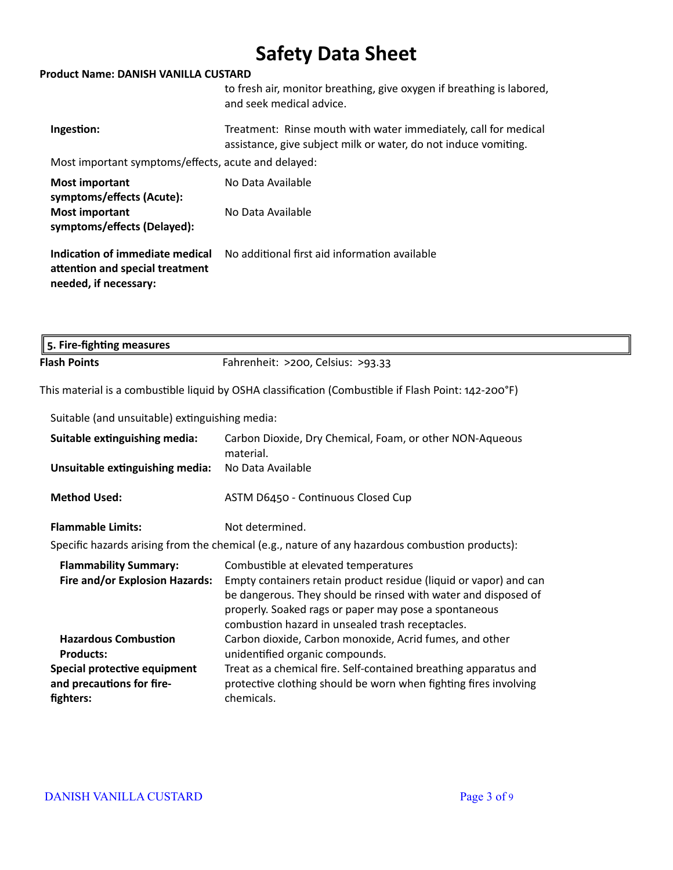### **Product Name: DANISH VANILLA CUSTARD**

|                                                                                             | to fresh air, monitor breathing, give oxygen if breathing is labored,<br>and seek medical advice.                                  |
|---------------------------------------------------------------------------------------------|------------------------------------------------------------------------------------------------------------------------------------|
| Ingestion:                                                                                  | Treatment: Rinse mouth with water immediately, call for medical<br>assistance, give subject milk or water, do not induce vomiting. |
| Most important symptoms/effects, acute and delayed:                                         |                                                                                                                                    |
| <b>Most important</b><br>symptoms/effects (Acute):                                          | No Data Available                                                                                                                  |
| <b>Most important</b><br>symptoms/effects (Delayed):                                        | No Data Available                                                                                                                  |
| Indication of immediate medical<br>attention and special treatment<br>needed, if necessary: | No additional first aid information available                                                                                      |

| $\parallel$ 5. Fire-fighting measures |                                   |
|---------------------------------------|-----------------------------------|
| <b>Flash Points</b>                   | Fahrenheit: >200, Celsius: >93.33 |

This material is a combustible liquid by OSHA classification (Combustible if Flash Point: 142-200°F)

Suitable (and unsuitable) extinguishing media:

| Suitable extinguishing media:                                          | Carbon Dioxide, Dry Chemical, Foam, or other NON-Aqueous<br>material.                                                                                                                                                                                                                    |
|------------------------------------------------------------------------|------------------------------------------------------------------------------------------------------------------------------------------------------------------------------------------------------------------------------------------------------------------------------------------|
| Unsuitable extinguishing media:                                        | No Data Available                                                                                                                                                                                                                                                                        |
| <b>Method Used:</b>                                                    | ASTM D6450 - Continuous Closed Cup                                                                                                                                                                                                                                                       |
| <b>Flammable Limits:</b>                                               | Not determined.                                                                                                                                                                                                                                                                          |
|                                                                        | Specific hazards arising from the chemical (e.g., nature of any hazardous combustion products):                                                                                                                                                                                          |
| <b>Flammability Summary:</b><br>Fire and/or Explosion Hazards:         | Combustible at elevated temperatures<br>Empty containers retain product residue (liquid or vapor) and can<br>be dangerous. They should be rinsed with water and disposed of<br>properly. Soaked rags or paper may pose a spontaneous<br>combustion hazard in unsealed trash receptacles. |
| <b>Hazardous Combustion</b><br><b>Products:</b>                        | Carbon dioxide, Carbon monoxide, Acrid fumes, and other<br>unidentified organic compounds.                                                                                                                                                                                               |
| Special protective equipment<br>and precautions for fire-<br>fighters: | Treat as a chemical fire. Self-contained breathing apparatus and<br>protective clothing should be worn when fighting fires involving<br>chemicals.                                                                                                                                       |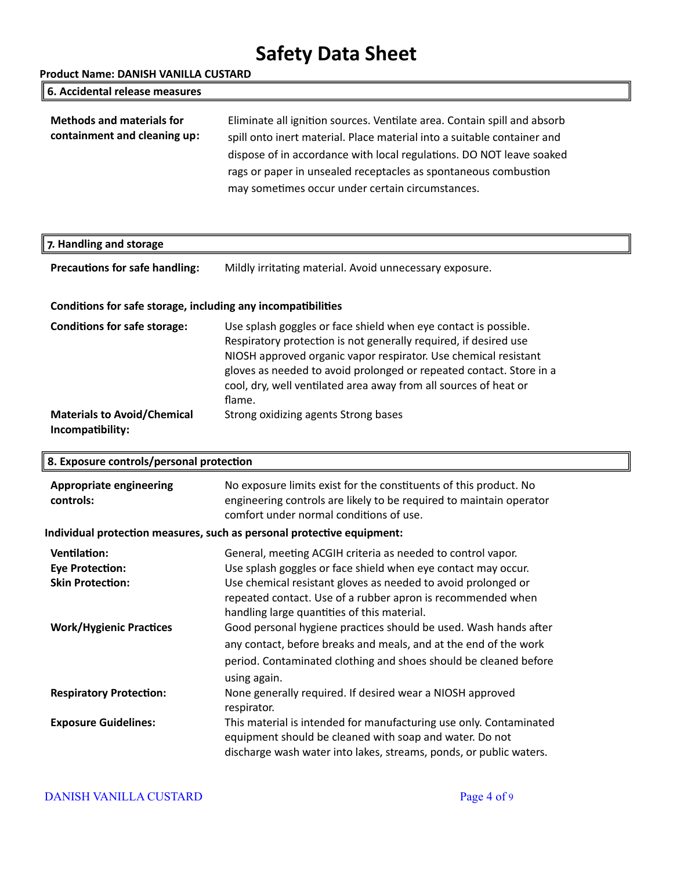**Product Name: DANISH VANILLA CUSTARD**

| 6. Accidental release measures                                   |                                                                                                                                                                                                                                                                                                                                                    |
|------------------------------------------------------------------|----------------------------------------------------------------------------------------------------------------------------------------------------------------------------------------------------------------------------------------------------------------------------------------------------------------------------------------------------|
| <b>Methods and materials for</b><br>containment and cleaning up: | Eliminate all ignition sources. Ventilate area. Contain spill and absorb<br>spill onto inert material. Place material into a suitable container and<br>dispose of in accordance with local regulations. DO NOT leave soaked<br>rags or paper in unsealed receptacles as spontaneous combustion<br>may sometimes occur under certain circumstances. |

# **7. Handling and storage**

Precautions for safe handling: Mildly irritating material. Avoid unnecessary exposure.

# **Conditions for safe storage, including any incompatibilities**

| <b>Conditions for safe storage:</b> | Use splash goggles or face shield when eye contact is possible.     |
|-------------------------------------|---------------------------------------------------------------------|
|                                     | Respiratory protection is not generally required, if desired use    |
|                                     | NIOSH approved organic vapor respirator. Use chemical resistant     |
|                                     | gloves as needed to avoid prolonged or repeated contact. Store in a |
|                                     | cool, dry, well ventilated area away from all sources of heat or    |
|                                     | flame.                                                              |
| <b>Materials to Avoid/Chemical</b>  | Strong oxidizing agents Strong bases                                |
| Incompatibility:                    |                                                                     |

| 8. Exposure controls/personal protection                               |                                                                                                                                                                                                                                                                                                             |  |
|------------------------------------------------------------------------|-------------------------------------------------------------------------------------------------------------------------------------------------------------------------------------------------------------------------------------------------------------------------------------------------------------|--|
| <b>Appropriate engineering</b><br>controls:                            | No exposure limits exist for the constituents of this product. No<br>engineering controls are likely to be required to maintain operator<br>comfort under normal conditions of use.                                                                                                                         |  |
| Individual protection measures, such as personal protective equipment: |                                                                                                                                                                                                                                                                                                             |  |
| Ventilation:<br><b>Eye Protection:</b><br><b>Skin Protection:</b>      | General, meeting ACGIH criteria as needed to control vapor.<br>Use splash goggles or face shield when eye contact may occur.<br>Use chemical resistant gloves as needed to avoid prolonged or<br>repeated contact. Use of a rubber apron is recommended when<br>handling large quantities of this material. |  |
| <b>Work/Hygienic Practices</b>                                         | Good personal hygiene practices should be used. Wash hands after<br>any contact, before breaks and meals, and at the end of the work<br>period. Contaminated clothing and shoes should be cleaned before<br>using again.                                                                                    |  |
| <b>Respiratory Protection:</b>                                         | None generally required. If desired wear a NIOSH approved<br>respirator.                                                                                                                                                                                                                                    |  |
| <b>Exposure Guidelines:</b>                                            | This material is intended for manufacturing use only. Contaminated<br>equipment should be cleaned with soap and water. Do not<br>discharge wash water into lakes, streams, ponds, or public waters.                                                                                                         |  |

# DANISH VANILLA CUSTARD Page 4 of 9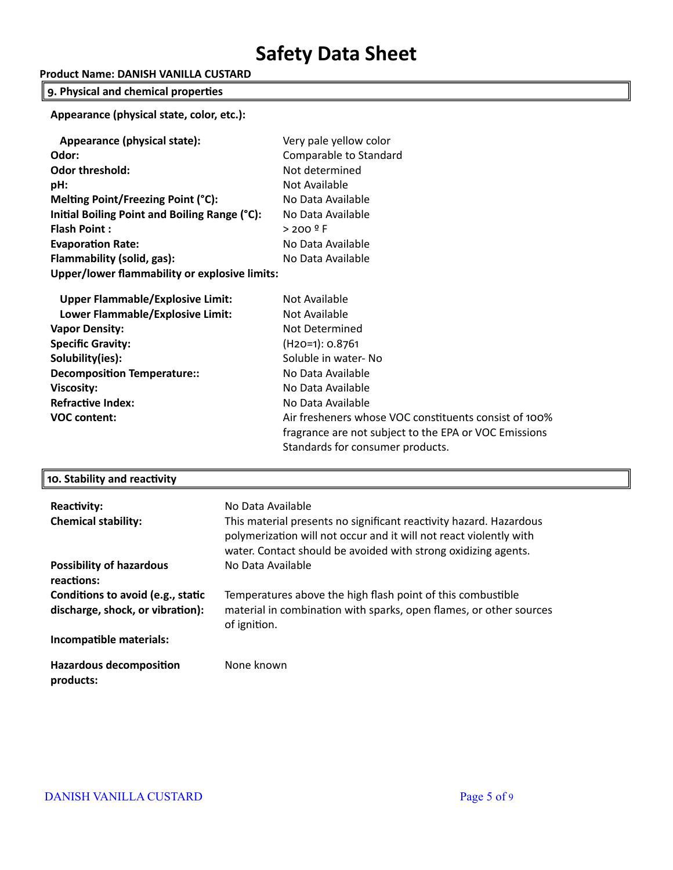# **Product Name: DANISH VANILLA CUSTARD**

# **9. Physical and chemical properties**

**Appearance (physical state, color, etc.):**

| Appearance (physical state):                  | Very pale yellow color |
|-----------------------------------------------|------------------------|
| Odor:                                         | Comparable to Standard |
| <b>Odor threshold:</b>                        | Not determined         |
| pH:                                           | Not Available          |
| Melting Point/Freezing Point (°C):            | No Data Available      |
| Initial Boiling Point and Boiling Range (°C): | No Data Available      |
| <b>Flash Point:</b>                           | $> 200$ º F            |
| <b>Evaporation Rate:</b>                      | No Data Available      |
| Flammability (solid, gas):                    | No Data Available      |
| Upper/lower flammability or explosive limits: |                        |
| <b>Upper Flammable/Explosive Limit:</b>       | Not Available          |
| Lower Flammable/Explosive Limit:              | Not Available          |

| Lower Flammable/Explosive Limit:   | Not Available                                         |
|------------------------------------|-------------------------------------------------------|
| <b>Vapor Density:</b>              | Not Determined                                        |
| <b>Specific Gravity:</b>           | $(H20=1): 0.8761$                                     |
| Solubility(ies):                   | Soluble in water-No                                   |
| <b>Decomposition Temperature::</b> | No Data Available                                     |
| <b>Viscosity:</b>                  | No Data Available                                     |
| <b>Refractive Index:</b>           | No Data Available                                     |
| <b>VOC content:</b>                | Air fresheners whose VOC constituents consist of 100% |
|                                    | fragrance are not subject to the EPA or VOC Emissions |
|                                    | Standards for consumer products.                      |

## **10. Stability and reactivity**

| <b>Reactivity:</b><br><b>Chemical stability:</b>                      | No Data Available<br>This material presents no significant reactivity hazard. Hazardous<br>polymerization will not occur and it will not react violently with<br>water. Contact should be avoided with strong oxidizing agents. |
|-----------------------------------------------------------------------|---------------------------------------------------------------------------------------------------------------------------------------------------------------------------------------------------------------------------------|
| <b>Possibility of hazardous</b><br>reactions:                         | No Data Available                                                                                                                                                                                                               |
| Conditions to avoid (e.g., static<br>discharge, shock, or vibration): | Temperatures above the high flash point of this combustible<br>material in combination with sparks, open flames, or other sources<br>of ignition.                                                                               |
| Incompatible materials:                                               |                                                                                                                                                                                                                                 |
| <b>Hazardous decomposition</b><br>products:                           | None known                                                                                                                                                                                                                      |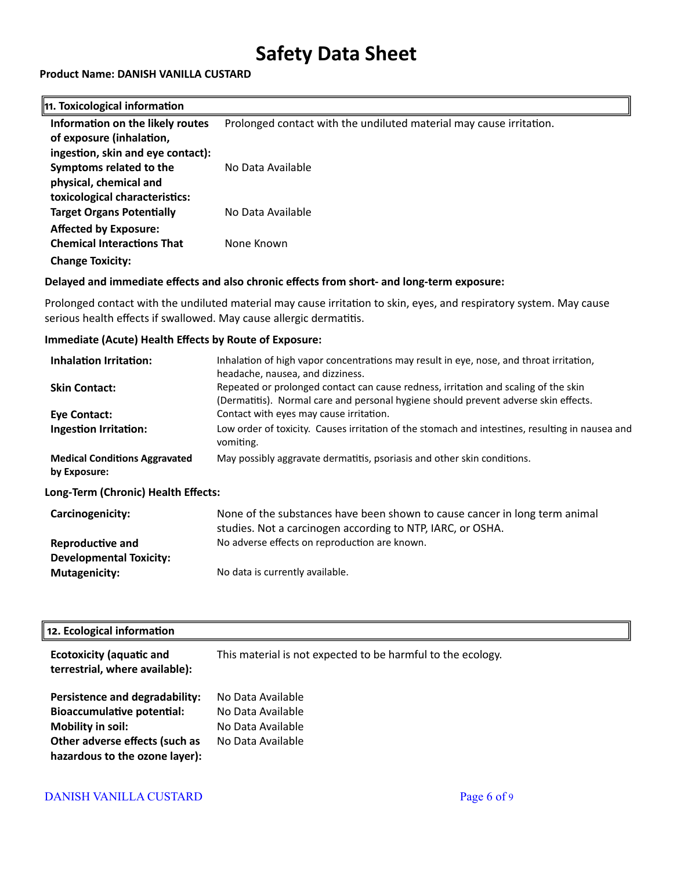## **Product Name: DANISH VANILLA CUSTARD**

#### **11. Toxicological information Information on the likely routes of exposure (inhalation, ingestion, skin and eye contact):** Prolonged contact with the undiluted material may cause irritation. **Symptoms related to the physical, chemical and toxicological characteristics:** No Data Available **Target Organs Potentially Affected by Exposure:** No Data Available **Chemical Interactions That Change Toxicity:** None Known

# **Delayed and immediate effects and also chronic effects from short- and long-term exposure:**

Prolonged contact with the undiluted material may cause irritation to skin, eyes, and respiratory system. May cause serious health effects if swallowed. May cause allergic dermatitis.

## **Immediate (Acute) Health Effects by Route of Exposure:**

| Inhalation Irritation:                               | Inhalation of high vapor concentrations may result in eye, nose, and throat irritation,<br>headache, nausea, and dizziness.                                                |
|------------------------------------------------------|----------------------------------------------------------------------------------------------------------------------------------------------------------------------------|
| <b>Skin Contact:</b>                                 | Repeated or prolonged contact can cause redness, irritation and scaling of the skin<br>(Dermatitis). Normal care and personal hygiene should prevent adverse skin effects. |
| Eye Contact:                                         | Contact with eyes may cause irritation.                                                                                                                                    |
| <b>Ingestion Irritation:</b>                         | Low order of toxicity. Causes irritation of the stomach and intestines, resulting in nausea and<br>vomiting.                                                               |
| <b>Medical Conditions Aggravated</b><br>by Exposure: | May possibly aggravate dermatitis, psoriasis and other skin conditions.                                                                                                    |
| Long-Term (Chronic) Health Effects:                  |                                                                                                                                                                            |

| <b>Carcinogenicity:</b>        | None of the substances have been shown to cause cancer in long term animal |
|--------------------------------|----------------------------------------------------------------------------|
|                                | studies. Not a carcinogen according to NTP, IARC, or OSHA.                 |
| <b>Reproductive and</b>        | No adverse effects on reproduction are known.                              |
| <b>Developmental Toxicity:</b> |                                                                            |
| <b>Mutagenicity:</b>           | No data is currently available.                                            |

### **12. Ecological information**

| <b>Ecotoxicity (aquatic and</b><br>terrestrial, where available):                                                                                                   | This material is not expected to be harmful to the ecology.                      |
|---------------------------------------------------------------------------------------------------------------------------------------------------------------------|----------------------------------------------------------------------------------|
| Persistence and degradability:<br><b>Bioaccumulative potential:</b><br><b>Mobility in soil:</b><br>Other adverse effects (such as<br>hazardous to the ozone layer): | No Data Available<br>No Data Available<br>No Data Available<br>No Data Available |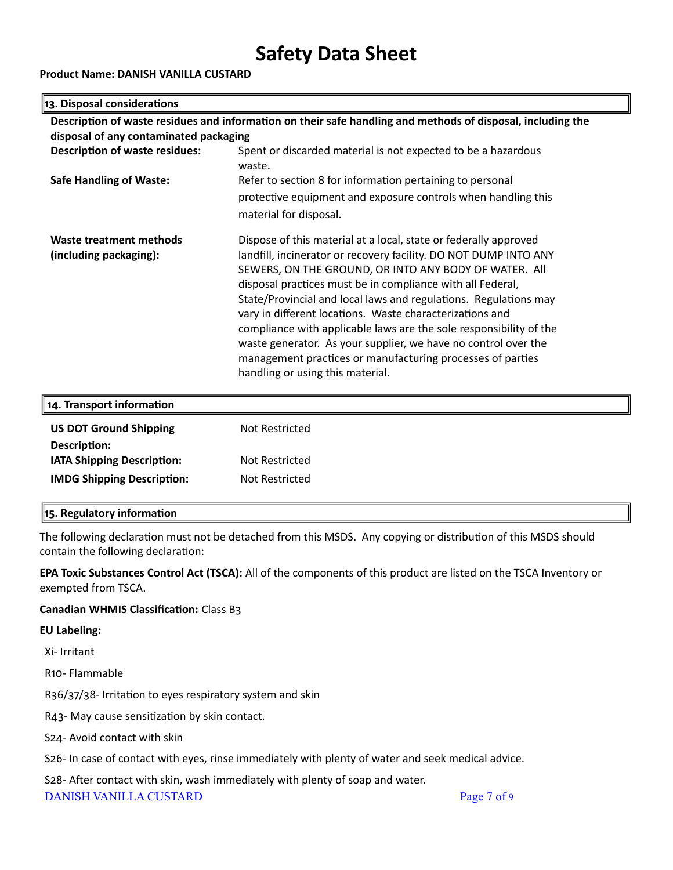## **Product Name: DANISH VANILLA CUSTARD**

## **13. Disposal considerations**

| Description of waste residues and information on their safe handling and methods of disposal, including the |                                                                    |  |  |  |
|-------------------------------------------------------------------------------------------------------------|--------------------------------------------------------------------|--|--|--|
| disposal of any contaminated packaging                                                                      |                                                                    |  |  |  |
| <b>Description of waste residues:</b>                                                                       | Spent or discarded material is not expected to be a hazardous      |  |  |  |
|                                                                                                             | waste.                                                             |  |  |  |
| <b>Safe Handling of Waste:</b>                                                                              | Refer to section 8 for information pertaining to personal          |  |  |  |
|                                                                                                             | protective equipment and exposure controls when handling this      |  |  |  |
|                                                                                                             | material for disposal.                                             |  |  |  |
| <b>Waste treatment methods</b>                                                                              | Dispose of this material at a local, state or federally approved   |  |  |  |
| (including packaging):                                                                                      | landfill, incinerator or recovery facility. DO NOT DUMP INTO ANY   |  |  |  |
|                                                                                                             | SEWERS, ON THE GROUND, OR INTO ANY BODY OF WATER. All              |  |  |  |
|                                                                                                             | disposal practices must be in compliance with all Federal,         |  |  |  |
|                                                                                                             | State/Provincial and local laws and regulations. Regulations may   |  |  |  |
|                                                                                                             | vary in different locations. Waste characterizations and           |  |  |  |
|                                                                                                             | compliance with applicable laws are the sole responsibility of the |  |  |  |
|                                                                                                             | waste generator. As your supplier, we have no control over the     |  |  |  |
|                                                                                                             | management practices or manufacturing processes of parties         |  |  |  |
|                                                                                                             | handling or using this material.                                   |  |  |  |
|                                                                                                             |                                                                    |  |  |  |
| 14. Transport information                                                                                   |                                                                    |  |  |  |
| <b>US DOT Ground Shipping</b>                                                                               | Not Restricted                                                     |  |  |  |

| Not Restricted |
|----------------|
| Not Restricted |
|                |

### **15. Regulatory information**

The following declaration must not be detached from this MSDS. Any copying or distribution of this MSDS should contain the following declaration:

**EPA Toxic Substances Control Act (TSCA):** All of the components of this product are listed on the TSCA Inventory or exempted from TSCA.

### **Canadian WHMIS Classification:** Class B3

#### **EU Labeling:**

Xi- Irritant

R10- Flammable

R36/37/38- Irritation to eyes respiratory system and skin

R43- May cause sensitization by skin contact.

S24- Avoid contact with skin

S26- In case of contact with eyes, rinse immediately with plenty of water and seek medical advice.

S28- After contact with skin, wash immediately with plenty of soap and water.

DANISH VANILLA CUSTARD Page 7 of 9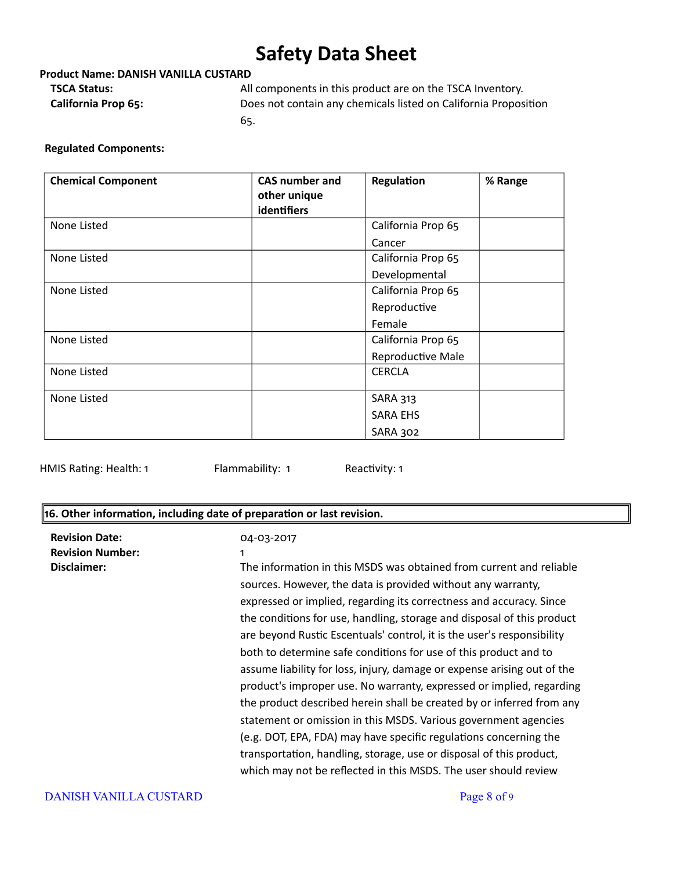## **Product Name: DANISH VANILLA CUSTARD**

**TSCA Status:** All components in this product are on the TSCA Inventory. **California Prop 65:** Does not contain any chemicals listed on California Proposition 65.

### **Regulated Components:**

| <b>Chemical Component</b> | <b>CAS number and</b> | Regulation         | % Range |
|---------------------------|-----------------------|--------------------|---------|
|                           | other unique          |                    |         |
|                           | identifiers           |                    |         |
| None Listed               |                       | California Prop 65 |         |
|                           |                       | Cancer             |         |
| None Listed               |                       | California Prop 65 |         |
|                           |                       | Developmental      |         |
| None Listed               |                       | California Prop 65 |         |
|                           |                       | Reproductive       |         |
|                           |                       | Female             |         |
| None Listed               |                       | California Prop 65 |         |
|                           |                       | Reproductive Male  |         |
| None Listed               |                       | <b>CERCLA</b>      |         |
| None Listed               |                       | <b>SARA 313</b>    |         |
|                           |                       | <b>SARA EHS</b>    |         |
|                           |                       | SARA 302           |         |

HMIS Rating: Health: 1 Flammability: 1 Reactivity: 1

## **16. Other information, including date of preparation or last revision.**

| <b>Revision Date:</b><br><b>Revision Number:</b><br>Disclaimer: | 04-03-2017<br>1<br>The information in this MSDS was obtained from current and reliable<br>sources. However, the data is provided without any warranty,<br>expressed or implied, regarding its correctness and accuracy. Since<br>the conditions for use, handling, storage and disposal of this product<br>are beyond Rustic Escentuals' control, it is the user's responsibility<br>both to determine safe conditions for use of this product and to<br>assume liability for loss, injury, damage or expense arising out of the<br>product's improper use. No warranty, expressed or implied, regarding<br>the product described herein shall be created by or inferred from any<br>statement or omission in this MSDS. Various government agencies<br>(e.g. DOT, EPA, FDA) may have specific regulations concerning the<br>transportation, handling, storage, use or disposal of this product,<br>which may not be reflected in this MSDS. The user should review |
|-----------------------------------------------------------------|---------------------------------------------------------------------------------------------------------------------------------------------------------------------------------------------------------------------------------------------------------------------------------------------------------------------------------------------------------------------------------------------------------------------------------------------------------------------------------------------------------------------------------------------------------------------------------------------------------------------------------------------------------------------------------------------------------------------------------------------------------------------------------------------------------------------------------------------------------------------------------------------------------------------------------------------------------------------|
| <b>DANISH VANILLA CUSTARD</b>                                   | Page 8 of 9                                                                                                                                                                                                                                                                                                                                                                                                                                                                                                                                                                                                                                                                                                                                                                                                                                                                                                                                                         |